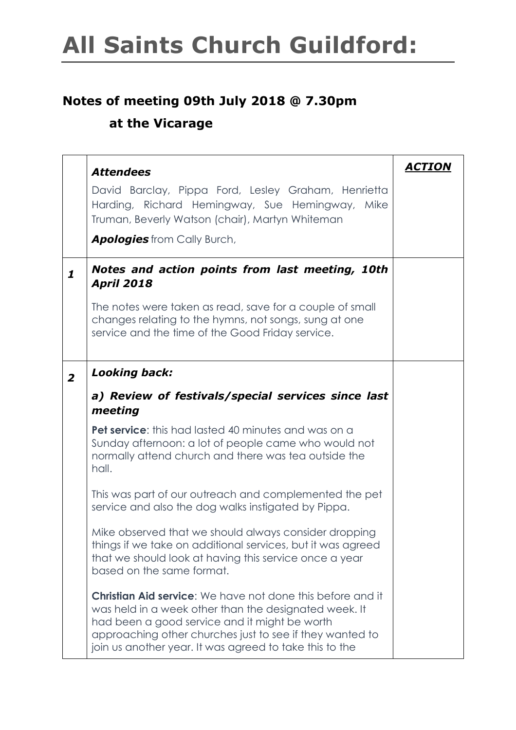#### **Notes of meeting 09th July 2018 @ 7.30pm**

#### **at the Vicarage**

|                | <b>Attendees</b>                                                                                                                                                                                                                                                                                   | ACTION |
|----------------|----------------------------------------------------------------------------------------------------------------------------------------------------------------------------------------------------------------------------------------------------------------------------------------------------|--------|
|                | David Barclay, Pippa Ford, Lesley Graham, Henrietta<br>Harding, Richard Hemingway, Sue Hemingway, Mike<br>Truman, Beverly Watson (chair), Martyn Whiteman                                                                                                                                          |        |
|                | <b>Apologies</b> from Cally Burch,                                                                                                                                                                                                                                                                 |        |
| $\mathbf{1}$   | Notes and action points from last meeting, 10th<br><b>April 2018</b>                                                                                                                                                                                                                               |        |
|                | The notes were taken as read, save for a couple of small<br>changes relating to the hymns, not songs, sung at one<br>service and the time of the Good Friday service.                                                                                                                              |        |
| $\overline{2}$ | <b>Looking back:</b>                                                                                                                                                                                                                                                                               |        |
|                | a) Review of festivals/special services since last<br>meeting                                                                                                                                                                                                                                      |        |
|                | <b>Pet service:</b> this had lasted 40 minutes and was on a<br>Sunday afternoon: a lot of people came who would not<br>normally attend church and there was tea outside the<br>hall.                                                                                                               |        |
|                | This was part of our outreach and complemented the pet<br>service and also the dog walks instigated by Pippa.                                                                                                                                                                                      |        |
|                | Mike observed that we should always consider dropping<br>things if we take on additional services, but it was agreed<br>that we should look at having this service once a year<br>based on the same format.                                                                                        |        |
|                | <b>Christian Aid service:</b> We have not done this before and it<br>was held in a week other than the designated week. It<br>had been a good service and it might be worth<br>approaching other churches just to see if they wanted to<br>join us another year. It was agreed to take this to the |        |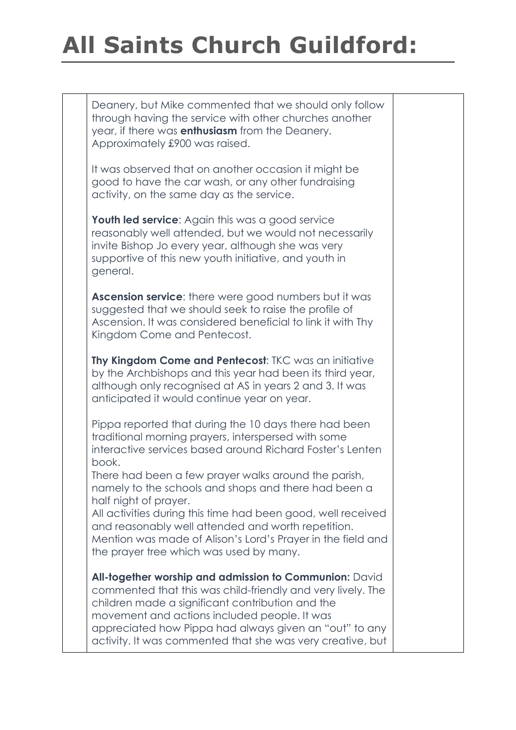Deanery, but Mike commented that we should only follow through having the service with other churches another year, if there was **enthusiasm** from the Deanery. Approximately £900 was raised.

It was observed that on another occasion it might be good to have the car wash, or any other fundraising activity, on the same day as the service.

**Youth led service:** Again this was a good service reasonably well attended, but we would not necessarily invite Bishop Jo every year, although she was very supportive of this new youth initiative, and youth in general.

**Ascension service**: there were good numbers but it was suggested that we should seek to raise the profile of Ascension. It was considered beneficial to link it with Thy Kingdom Come and Pentecost.

**Thy Kingdom Come and Pentecost**: TKC was an initiative by the Archbishops and this year had been its third year, although only recognised at AS in years 2 and 3. It was anticipated it would continue year on year.

Pippa reported that during the 10 days there had been traditional morning prayers, interspersed with some interactive services based around Richard Foster's Lenten book.

There had been a few prayer walks around the parish, namely to the schools and shops and there had been a half night of prayer.

All activities during this time had been good, well received and reasonably well attended and worth repetition. Mention was made of Alison's Lord's Prayer in the field and the prayer tree which was used by many.

**All-together worship and admission to Communion:** David commented that this was child-friendly and very lively. The children made a significant contribution and the movement and actions included people. It was appreciated how Pippa had always given an "out" to any activity. It was commented that she was very creative, but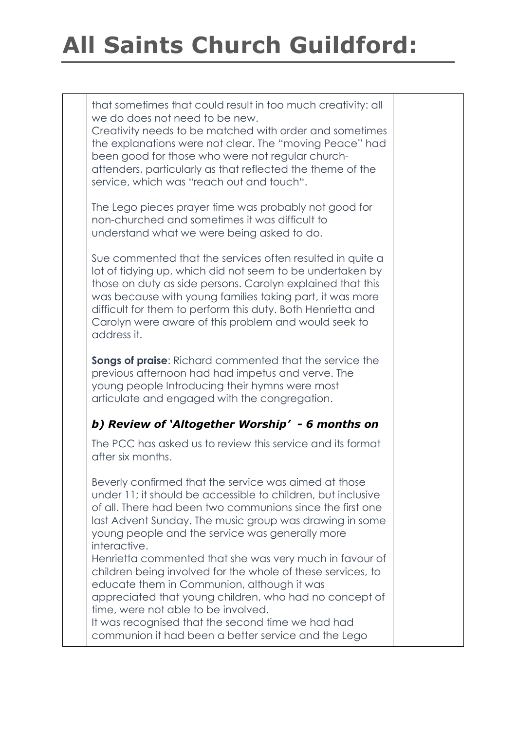that sometimes that could result in too much creativity: all we do does not need to be new.

Creativity needs to be matched with order and sometimes the explanations were not clear. The "moving Peace" had been good for those who were not regular churchattenders, particularly as that reflected the theme of the service, which was "reach out and touch".

The Lego pieces prayer time was probably not good for non-churched and sometimes it was difficult to understand what we were being asked to do.

Sue commented that the services often resulted in quite a lot of tidying up, which did not seem to be undertaken by those on duty as side persons. Carolyn explained that this was because with young families taking part, it was more difficult for them to perform this duty. Both Henrietta and Carolyn were aware of this problem and would seek to address it.

**Songs of praise**: Richard commented that the service the previous afternoon had had impetus and verve. The young people Introducing their hymns were most articulate and engaged with the congregation.

#### *b) Review of 'Altogether Worship' - 6 months on*

The PCC has asked us to review this service and its format after six months.

Beverly confirmed that the service was aimed at those under 11; it should be accessible to children, but inclusive of all. There had been two communions since the first one last Advent Sunday. The music group was drawing in some young people and the service was generally more interactive.

Henrietta commented that she was very much in favour of children being involved for the whole of these services, to educate them in Communion, although it was appreciated that young children, who had no concept of time, were not able to be involved.

It was recognised that the second time we had had communion it had been a better service and the Lego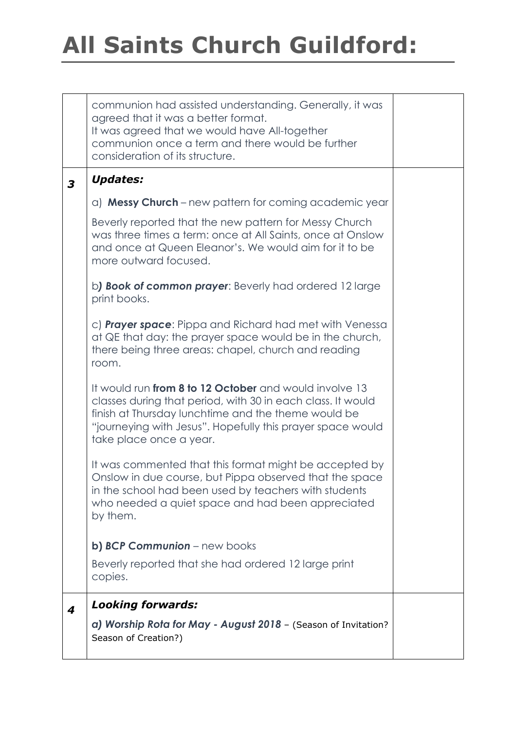|   | communion had assisted understanding. Generally, it was<br>agreed that it was a better format.<br>It was agreed that we would have All-together<br>communion once a term and there would be further<br>consideration of its structure.                                |  |
|---|-----------------------------------------------------------------------------------------------------------------------------------------------------------------------------------------------------------------------------------------------------------------------|--|
| 3 | <b>Updates:</b>                                                                                                                                                                                                                                                       |  |
|   | a) Messy Church – new pattern for coming academic year                                                                                                                                                                                                                |  |
|   | Beverly reported that the new pattern for Messy Church<br>was three times a term: once at All Saints, once at Onslow<br>and once at Queen Eleanor's. We would aim for it to be<br>more outward focused.                                                               |  |
|   | b) Book of common prayer: Beverly had ordered 12 large<br>print books.                                                                                                                                                                                                |  |
|   | c) <b>Prayer space</b> : Pippa and Richard had met with Venessa<br>at QE that day: the prayer space would be in the church,<br>there being three areas: chapel, church and reading<br>room.                                                                           |  |
|   | It would run from 8 to 12 October and would involve 13<br>classes during that period, with 30 in each class. It would<br>finish at Thursday lunchtime and the theme would be<br>"journeying with Jesus". Hopefully this prayer space would<br>take place once a year. |  |
|   | It was commented that this format might be accepted by<br>Onslow in due course, but Pippa observed that the space<br>in the school had been used by teachers with students<br>who needed a quiet space and had been appreciated<br>by them.                           |  |
|   | b) BCP Communion - new books                                                                                                                                                                                                                                          |  |
|   | Beverly reported that she had ordered 12 large print<br>copies.                                                                                                                                                                                                       |  |
| 4 | <b>Looking forwards:</b>                                                                                                                                                                                                                                              |  |
|   | a) Worship Rota for May - August 2018 - (Season of Invitation?<br>Season of Creation?)                                                                                                                                                                                |  |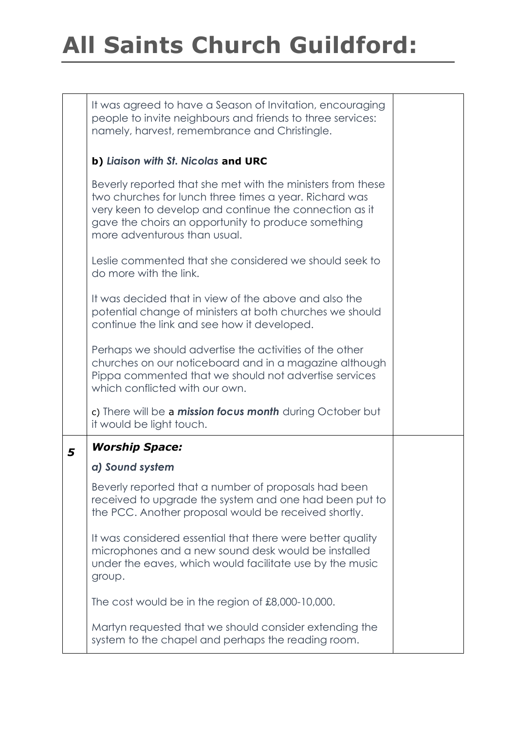|   | It was agreed to have a Season of Invitation, encouraging<br>people to invite neighbours and friends to three services:<br>namely, harvest, remembrance and Christingle.                                                                                               |  |
|---|------------------------------------------------------------------------------------------------------------------------------------------------------------------------------------------------------------------------------------------------------------------------|--|
|   | b) Liaison with St. Nicolas and URC                                                                                                                                                                                                                                    |  |
|   | Beverly reported that she met with the ministers from these<br>two churches for lunch three times a year. Richard was<br>very keen to develop and continue the connection as it<br>gave the choirs an opportunity to produce something<br>more adventurous than usual. |  |
|   | Leslie commented that she considered we should seek to<br>do more with the link.                                                                                                                                                                                       |  |
|   | It was decided that in view of the above and also the<br>potential change of ministers at both churches we should<br>continue the link and see how it developed.                                                                                                       |  |
|   | Perhaps we should advertise the activities of the other<br>churches on our noticeboard and in a magazine although<br>Pippa commented that we should not advertise services<br>which conflicted with our own.                                                           |  |
|   | c) There will be a mission focus month during October but<br>it would be light touch.                                                                                                                                                                                  |  |
| 5 | <b>Worship Space:</b>                                                                                                                                                                                                                                                  |  |
|   | a) Sound system                                                                                                                                                                                                                                                        |  |
|   | Beverly reported that a number of proposals had been<br>received to upgrade the system and one had been put to<br>the PCC. Another proposal would be received shortly.                                                                                                 |  |
|   | It was considered essential that there were better quality<br>microphones and a new sound desk would be installed<br>under the eaves, which would facilitate use by the music<br>group.                                                                                |  |
|   | The cost would be in the region of £8,000-10,000.                                                                                                                                                                                                                      |  |
|   | Martyn requested that we should consider extending the<br>system to the chapel and perhaps the reading room.                                                                                                                                                           |  |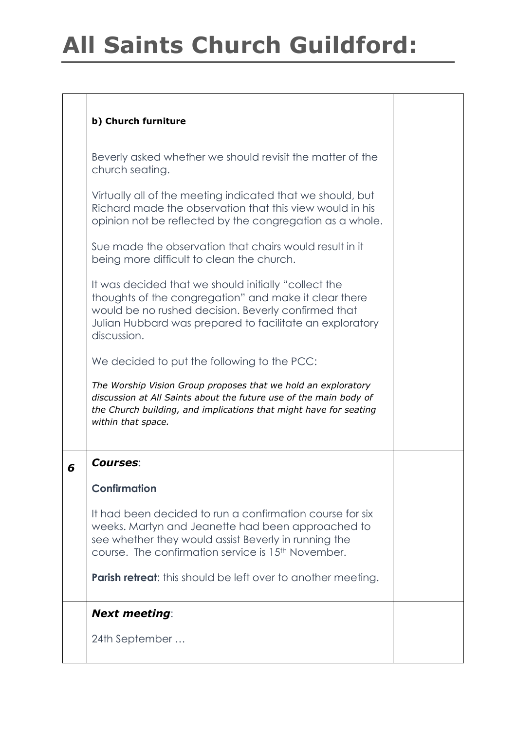#### **b) Church furniture**

Beverly asked whether we should revisit the matter of the church seating.

Virtually all of the meeting indicated that we should, but Richard made the observation that this view would in his opinion not be reflected by the congregation as a whole.

Sue made the observation that chairs would result in it being more difficult to clean the church.

It was decided that we should initially "collect the thoughts of the congregation" and make it clear there would be no rushed decision. Beverly confirmed that Julian Hubbard was prepared to facilitate an exploratory discussion.

We decided to put the following to the PCC:

*The Worship Vision Group proposes that we hold an exploratory discussion at All Saints about the future use of the main body of the Church building, and implications that might have for seating within that space.*

#### *6 Courses***:**

#### **Confirmation**

It had been decided to run a confirmation course for six weeks. Martyn and Jeanette had been approached to see whether they would assist Beverly in running the course. The confirmation service is 15th November.

**Parish retreat:** this should be left over to another meeting.

#### *Next meeting*:

24th September …